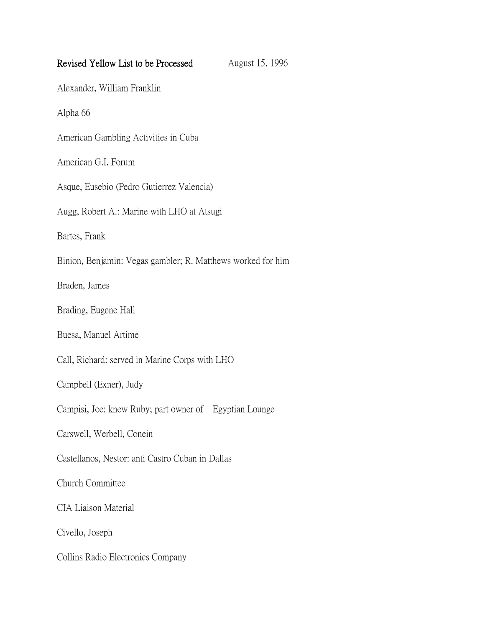| Revised Yellow List to be Processed                         | August 15, 1996 |
|-------------------------------------------------------------|-----------------|
| Alexander, William Franklin                                 |                 |
| Alpha 66                                                    |                 |
| American Gambling Activities in Cuba                        |                 |
| American G.I. Forum                                         |                 |
| Asque, Eusebio (Pedro Gutierrez Valencia)                   |                 |
| Augg, Robert A.: Marine with LHO at Atsugi                  |                 |
| Bartes, Frank                                               |                 |
| Binion, Benjamin: Vegas gambler; R. Matthews worked for him |                 |
| Braden, James                                               |                 |
| Brading, Eugene Hall                                        |                 |
| Buesa, Manuel Artime                                        |                 |
| Call, Richard: served in Marine Corps with LHO              |                 |
| Campbell (Exner), Judy                                      |                 |
| Campisi, Joe: knew Ruby; part owner of Egyptian Lounge      |                 |
| Carswell, Werbell, Conein                                   |                 |
| Castellanos, Nestor: anti Castro Cuban in Dallas            |                 |
| Church Committee                                            |                 |
| CIA Liaison Material                                        |                 |
| Civello, Joseph                                             |                 |
| Collins Radio Electronics Company                           |                 |
|                                                             |                 |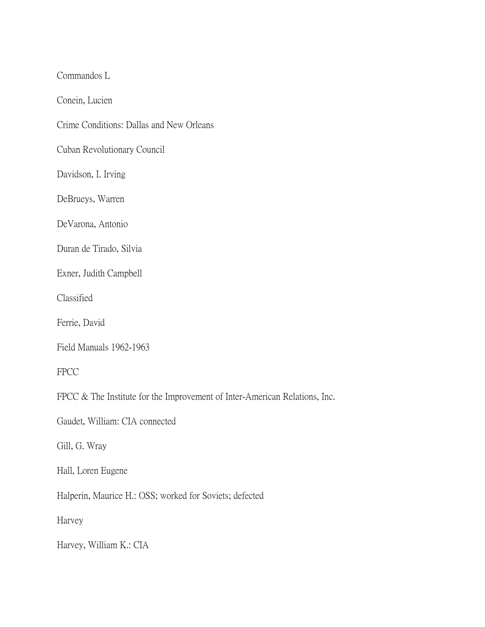Commandos L

Conein, Lucien

Crime Conditions: Dallas and New Orleans

Cuban Revolutionary Council

Davidson, I. Irving

DeBrueys, Warren

DeVarona, Antonio

Duran de Tirado, Silvia

Exner, Judith Campbell

Classified

Ferrie, David

Field Manuals 1962-1963

FPCC

FPCC & The Institute for the Improvement of Inter-American Relations, Inc.

Gaudet, William: CIA connected

Gill, G. Wray

Hall, Loren Eugene

Halperin, Maurice H.: OSS; worked for Soviets; defected

Harvey

Harvey, William K.: CIA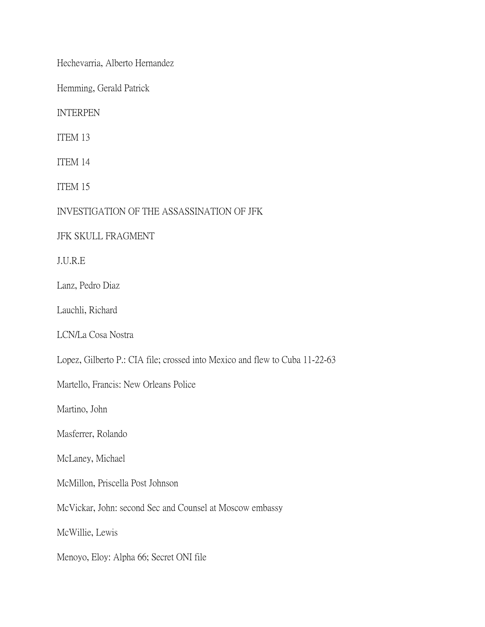Hechevarria, Alberto Hernandez

Hemming, Gerald Patrick

INTERPEN

ITEM 13

ITEM 14

ITEM 15

INVESTIGATION OF THE ASSASSINATION OF JFK

JFK SKULL FRAGMENT

J.U.R.E

Lanz, Pedro Diaz

Lauchli, Richard

LCN/La Cosa Nostra

Lopez, Gilberto P.: CIA file; crossed into Mexico and flew to Cuba 11-22-63

Martello, Francis: New Orleans Police

Martino, John

Masferrer, Rolando

McLaney, Michael

McMillon, Priscella Post Johnson

McVickar, John: second Sec and Counsel at Moscow embassy

McWillie, Lewis

Menoyo, Eloy: Alpha 66; Secret ONI file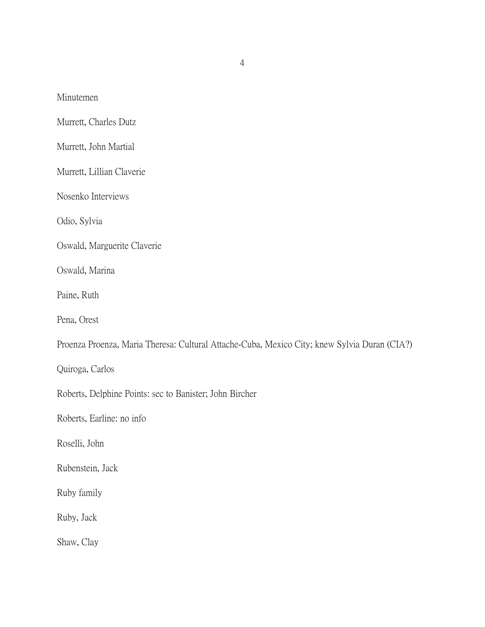Minutemen

Murrett, Charles Dutz

Murrett, John Martial

Murrett, Lillian Claverie

Nosenko Interviews

Odio, Sylvia

Oswald, Marguerite Claverie

Oswald, Marina

Paine, Ruth

Pena, Orest

Proenza Proenza, Maria Theresa: Cultural Attache-Cuba, Mexico City; knew Sylvia Duran (CIA?)

Quiroga, Carlos

Roberts, Delphine Points: sec to Banister; John Bircher

Roberts, Earline: no info

Roselli, John

Rubenstein, Jack

Ruby family

Ruby, Jack

Shaw, Clay